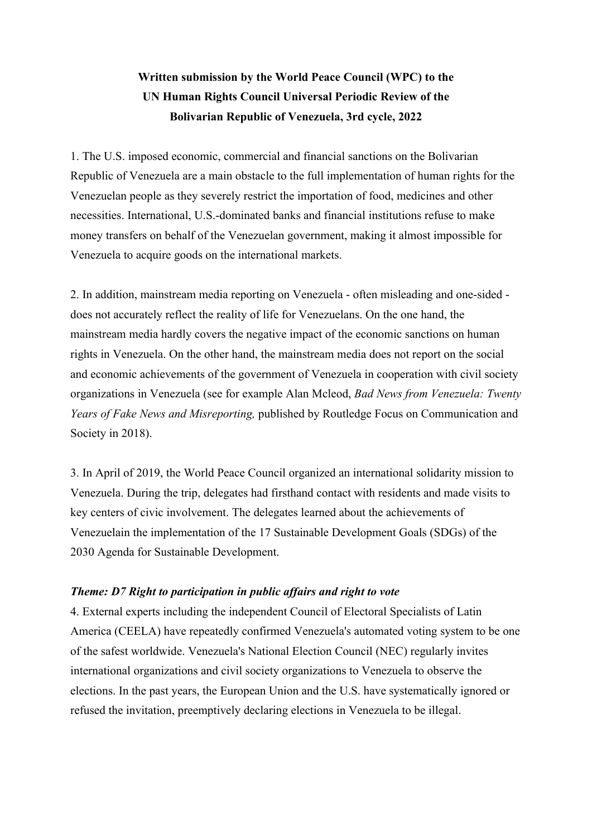# **Written submission by the World Peace Council (WPC) to the UN Human Rights Council Universal Periodic Review of the Bolivarian Republic of Venezuela, 3rd cycle, 2022**

1. The U.S. imposed economic, commercial and financial sanctions on the Bolivarian Republic of Venezuela are <sup>a</sup> main obstacle to the full implementation of human rights for the Venezuelan people as they severely restrict the importation of food, medicines and other necessities. International, U.S.-dominated banks and financial institutions refuse to make money transfers on behalf of the Venezuelan government, making it almost impossible for Venezuela to acquire goods on the international markets.

2. In addition, mainstream media reporting on Venezuela - often misleading and one-sided does not accurately reflect the reality of life for Venezuelans. On the one hand, the mainstream media hardly covers the negative impact of the economic sanctions on human rights in Venezuela. On the other hand, the mainstream media does not repor<sup>t</sup> on the social and economic achievements of the governmen<sup>t</sup> of Venezuela in cooperation with civil society organizations in Venezuela (see for example Alan Mcleod, *Bad News from Venezuela: Twenty Years of Fake News and Misreporting,* published by Routledge Focus on Communication and Society in 2018).

3. In April of 2019, the World Peace Council organized an international solidarity mission to Venezuela. During the trip, delegates had firsthand contact with residents and made visits to key centers of civic involvement. The delegates learned about the achievements of Venezuelain the implementation of the 17 Sustainable Development Goals (SDGs) of the 2030 Agenda for Sustainable Development.

# *Theme: D7 Right to participation in public affairs and right to vote*

4. External experts including the independent Council of Electoral Specialists of Latin America (CEELA) have repeatedly confirmed Venezuela's automated voting system to be one of the safest worldwide. Venezuela's National Election Council (NEC) regularly invites international organizations and civil society organizations to Venezuela to observe the elections. In the pas<sup>t</sup> years, the European Union and the U.S. have systematically ignored or refused the invitation, preemptively declaring elections in Venezuela to be illegal.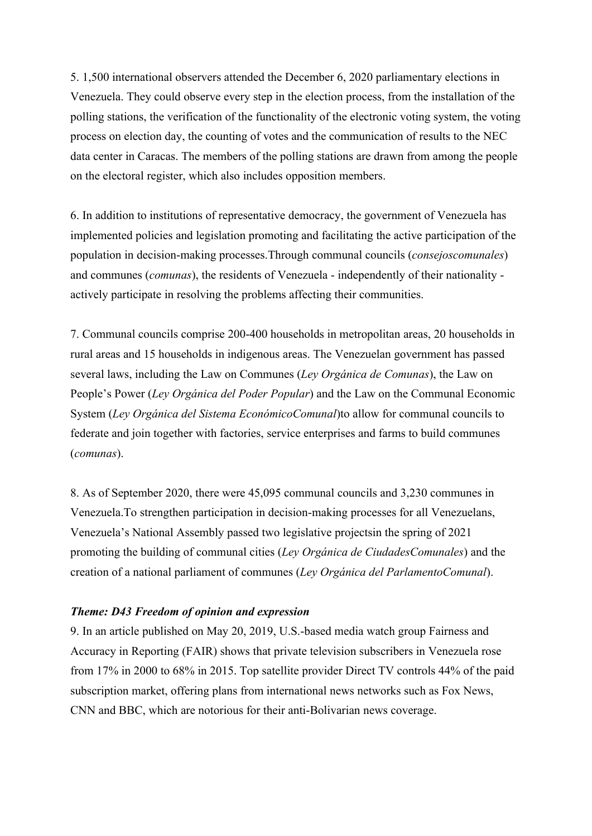5. 1,500 international observers attended the December 6, 2020 parliamentary elections in Venezuela. They could observe every step in the election process, from the installation of the polling stations, the verification of the functionality of the electronic voting system, the voting process on election day, the counting of votes and the communication of results to the NEC data center in Caracas. The members of the polling stations are drawn from among the people on the electoral register, which also includes opposition members.

6. In addition to institutions of representative democracy, the governmen<sup>t</sup> of Venezuela has implemented policies and legislation promoting and facilitating the active participation of the population in decision-making processes.Through communal councils (*consejoscomunales*) and communes (*comunas*), the residents of Venezuela - independently of their nationality actively participate in resolving the problems affecting their communities.

7. Communal councils comprise 200-400 households in metropolitan areas, 20 households in rural areas and 15 households in indigenous areas. The Venezuelan governmen<sup>t</sup> has passed several laws, including the Law on Communes (*Ley Orgánica de Comunas*), the Law on People'<sup>s</sup> Power (*Ley Orgánica del Poder Popular*) and the Law on the Communal Economic System (*Ley Orgánica del Sistema EconómicoComunal*)to allow for communal councils to federate and join together with factories, service enterprises and farms to build communes (*comunas*).

8. As of September 2020, there were 45,095 communal councils and 3,230 communes in Venezuela.To strengthen participation in decision-making processes for all Venezuelans, Venezuela'<sup>s</sup> National Assembly passed two legislative projectsin the spring of 2021 promoting the building of communal cities (*Ley Orgánica de CiudadesComunales*) and the creation of <sup>a</sup> national parliament of communes (*Ley Orgánica del ParlamentoComunal*).

#### *Theme: D43 Freedom of opinion and expression*

9. In an article published on May 20, 2019, U.S.-based media watch group Fairness and Accuracy in Reporting (FAIR) shows that private television subscribers in Venezuela rose from 17% in 2000 to 68% in 2015. Top satellite provider Direct TV controls 44% of the paid subscription market, offering plans from international news networks such as Fox News, CNN and BBC, which are notorious for their anti-Bolivarian news coverage.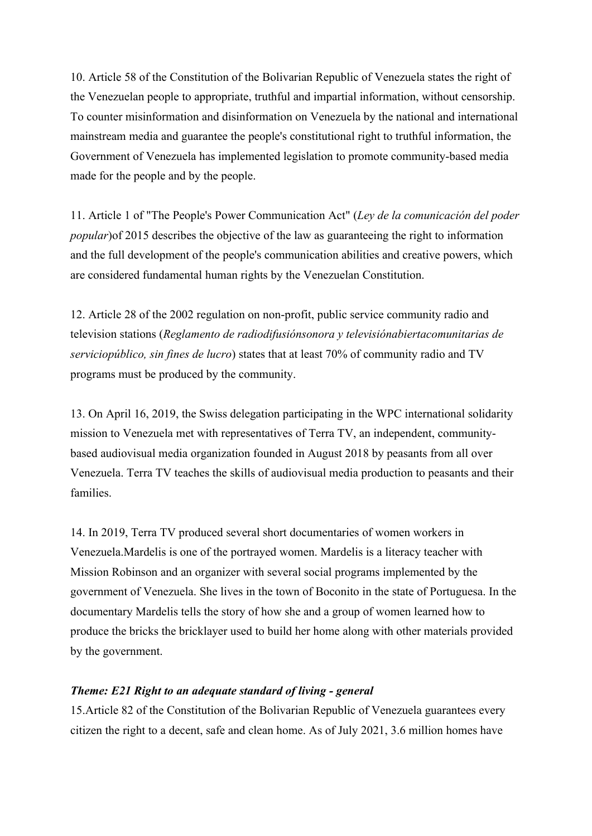10. Article 58 of the Constitution of the Bolivarian Republic of Venezuela states the right of the Venezuelan people to appropriate, truthful and impartial information, without censorship. To counter misinformation and disinformation on Venezuela by the national and international mainstream media and guarantee the people's constitutional right to truthful information, the Government of Venezuela has implemented legislation to promote community-based media made for the people and by the people.

11. Article 1 of "The People's Power Communication Act" (*Ley de la comunicación del poder popular*)of 2015 describes the objective of the law as guaranteeing the right to information and the full development of the people's communication abilities and creative powers, which are considered fundamental human rights by the Venezuelan Constitution.

12. Article 28 of the 2002 regulation on non-profit, public service community radio and television stations (*Reglamento de radiodifusiónsonora y televisiónabiertacomunitarias de serviciopúblico, sin fines de lucro*) states that at least 70% of community radio and TV programs must be produced by the community.

13. On April 16, 2019, the Swiss delegation participating in the WPC international solidarity mission to Venezuela met with representatives of Terra TV, an independent, communitybased audiovisual media organization founded in August 2018 by peasants from all over Venezuela. Terra TV teaches the skills of audiovisual media production to peasants and their families.

14. In 2019, Terra TV produced several short documentaries of women workers in Venezuela.Mardelis is one of the portrayed women. Mardelis is <sup>a</sup> literacy teacher with Mission Robinson and an organizer with several social programs implemented by the governmen<sup>t</sup> of Venezuela. She lives in the town of Boconito in the state of Portuguesa. In the documentary Mardelis tells the story of how she and <sup>a</sup> group of women learned how to produce the bricks the bricklayer used to build her home along with other materials provided by the government.

# *Theme: E21 Right to an adequate standard of living - general*

15.Article 82 of the Constitution of the Bolivarian Republic of Venezuela guarantees every citizen the right to <sup>a</sup> decent, safe and clean home. As of July 2021, 3.6 million homes have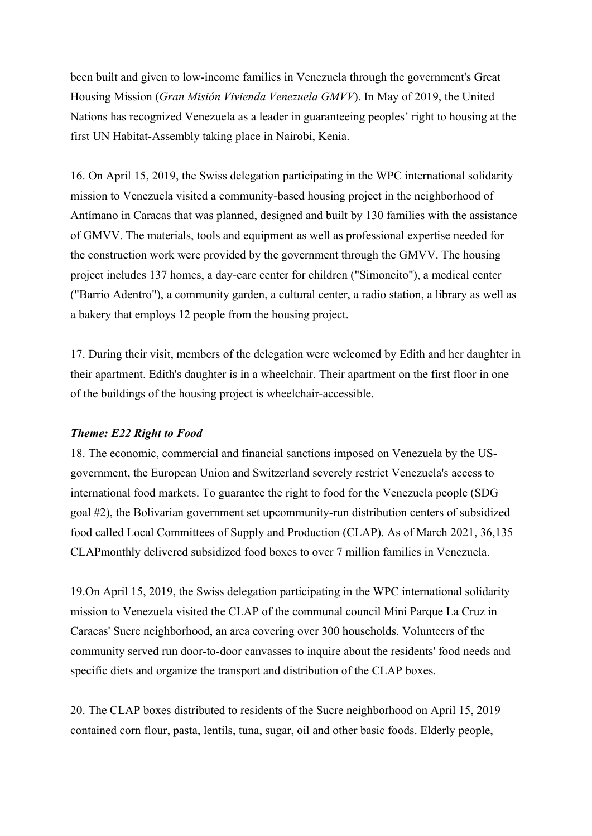been built and given to low-income families in Venezuela through the government's Great Housing Mission (*Gran Misión Vivienda Venezuela GMVV*). In May of 2019, the United Nations has recognized Venezuela as <sup>a</sup> leader in guaranteeing peoples' right to housing at the first UN Habitat-Assembly taking place in Nairobi, Kenia.

16. On April 15, 2019, the Swiss delegation participating in the WPC international solidarity mission to Venezuela visited <sup>a</sup> community-based housing project in the neighborhood of Antímano in Caracas that was planned, designed and built by 130 families with the assistance of GMVV. The materials, tools and equipment as well as professional expertise needed for the construction work were provided by the governmen<sup>t</sup> through the GMVV. The housing project includes 137 homes, <sup>a</sup> day-care center for children ("Simoncito"), <sup>a</sup> medical center ("Barrio Adentro"), <sup>a</sup> community garden, <sup>a</sup> cultural center, <sup>a</sup> radio station, <sup>a</sup> library as well as <sup>a</sup> bakery that employs 12 people from the housing project.

17. During their visit, members of the delegation were welcomed by Edith and her daughter in their apartment. Edith's daughter is in <sup>a</sup> wheelchair. Their apartment on the first floor in one of the buildings of the housing project is wheelchair-accessible.

#### *Theme: E22 Right to Food*

18. The economic, commercial and financial sanctions imposed on Venezuela by the USgovernment, the European Union and Switzerland severely restrict Venezuela's access to international food markets. To guarantee the right to food for the Venezuela people (SDG goal #2), the Bolivarian governmen<sup>t</sup> set upcommunity-run distribution centers of subsidized food called Local Committees of Supply and Production (CLAP). As of March 2021, 36,135 CLAPmonthly delivered subsidized food boxes to over 7 million families in Venezuela.

19.On April 15, 2019, the Swiss delegation participating in the WPC international solidarity mission to Venezuela visited the CLAP of the communal council Mini Parque La Cruz in Caracas' Sucre neighborhood, an area covering over 300 households. Volunteers of the community served run door-to-door canvasses to inquire about the residents' food needs and specific diets and organize the transport and distribution of the CLAP boxes.

20. The CLAP boxes distributed to residents of the Sucre neighborhood on April 15, 2019 contained corn flour, pasta, lentils, tuna, sugar, oil and other basic foods. Elderly people,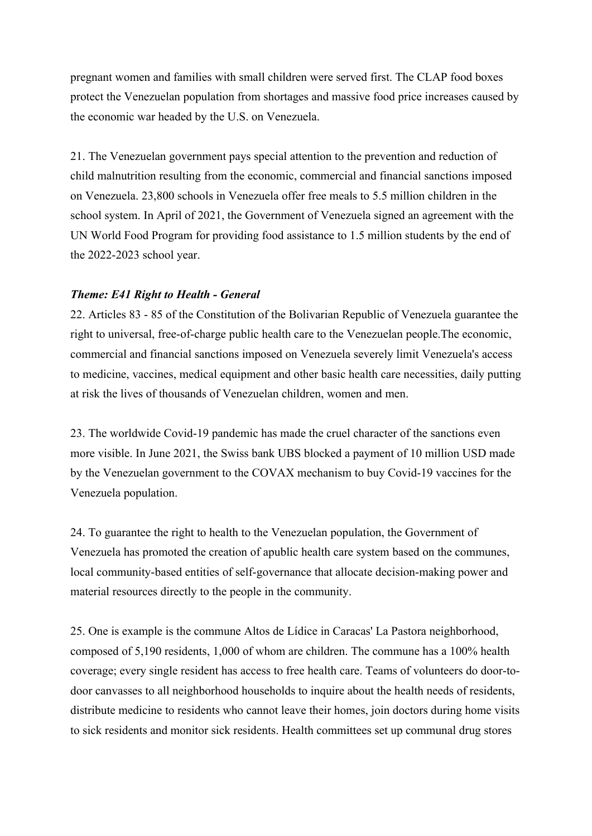pregnan<sup>t</sup> women and families with small children were served first. The CLAP food boxes protect the Venezuelan population from shortages and massive food price increases caused by the economic war headed by the U.S. on Venezuela.

21. The Venezuelan governmen<sup>t</sup> pays special attention to the prevention and reduction of child malnutrition resulting from the economic, commercial and financial sanctions imposed on Venezuela. 23,800 schools in Venezuela offer free meals to 5.5 million children in the school system. In April of 2021, the Government of Venezuela signed an agreemen<sup>t</sup> with the UN World Food Program for providing food assistance to 1.5 million students by the end of the 2022-2023 school year.

# *Theme: E41 Right to Health - General*

22. Articles 83 - 85 of the Constitution of the Bolivarian Republic of Venezuela guarantee the right to universal, free-of-charge public health care to the Venezuelan people.The economic, commercial and financial sanctions imposed on Venezuela severely limit Venezuela's access to medicine, vaccines, medical equipment and other basic health care necessities, daily putting at risk the lives of thousands of Venezuelan children, women and men.

23. The worldwide Covid-19 pandemic has made the cruel character of the sanctions even more visible. In June 2021, the Swiss bank UBS blocked <sup>a</sup> paymen<sup>t</sup> of 10 million USD made by the Venezuelan governmen<sup>t</sup> to the COVAX mechanism to buy Covid-19 vaccines for the Venezuela population.

24. To guarantee the right to health to the Venezuelan population, the Government of Venezuela has promoted the creation of apublic health care system based on the communes, local community-based entities of self-governance that allocate decision-making power and material resources directly to the people in the community.

25. One is example is the commune Altos de Lídice in Caracas' La Pastora neighborhood, composed of 5,190 residents, 1,000 of whom are children. The commune has <sup>a</sup> 100% health coverage; every single resident has access to free health care. Teams of volunteers do door-todoor canvasses to all neighborhood households to inquire about the health needs of residents, distribute medicine to residents who cannot leave their homes, join doctors during home visits to sick residents and monitor sick residents. Health committees set up communal drug stores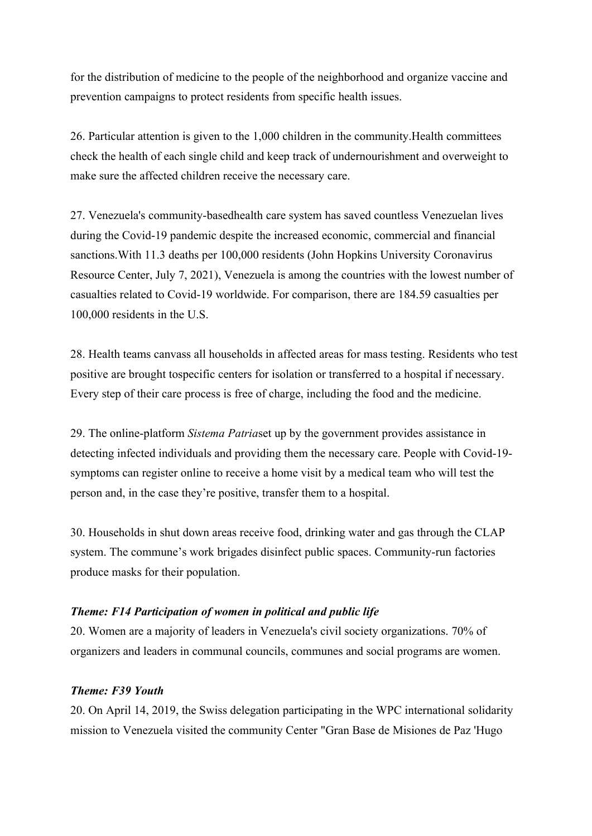for the distribution of medicine to the people of the neighborhood and organize vaccine and prevention campaigns to protect residents from specific health issues.

26. Particular attention is given to the 1,000 children in the community.Health committees check the health of each single child and keep track of undernourishment and overweight to make sure the affected children receive the necessary care.

27. Venezuela's community-basedhealth care system has saved countless Venezuelan lives during the Covid-19 pandemic despite the increased economic, commercial and financial sanctions.With 11.3 deaths per 100,000 residents (John Hopkins University Coronavirus Resource Center, July 7, 2021), Venezuela is among the countries with the lowest number of casualties related to Covid-19 worldwide. For comparison, there are 184.59 casualties per 100,000 residents in the U.S.

28. Health teams canvass all households in affected areas for mass testing. Residents who test positive are brought tospecific centers for isolation or transferred to <sup>a</sup> hospital if necessary. Every step of their care process is free of charge, including the food and the medicine.

29. The online-platform *Sistema Patria*set up by the governmen<sup>t</sup> provides assistance in detecting infected individuals and providing them the necessary care. People with Covid-19 symptoms can register online to receive <sup>a</sup> home visit by <sup>a</sup> medical team who will test the person and, in the case they're positive, transfer them to <sup>a</sup> hospital.

30. Households in shut down areas receive food, drinking water and gas through the CLAP system. The commune'<sup>s</sup> work brigades disinfect public spaces. Community-run factories produce masks for their population.

# *Theme: F14 Participation of women in political and public life*

20. Women are <sup>a</sup> majority of leaders in Venezuela's civil society organizations. 70% of organizers and leaders in communal councils, communes and social programs are women.

# *Theme: F39 Youth*

20. On April 14, 2019, the Swiss delegation participating in the WPC international solidarity mission to Venezuela visited the community Center "Gran Base de Misiones de Paz 'Hugo